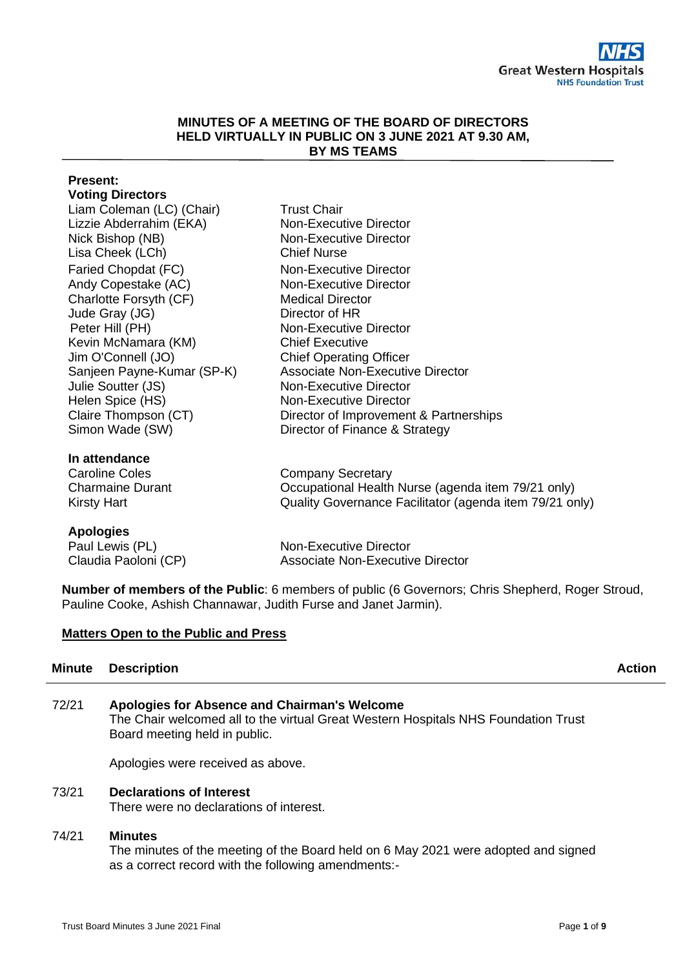#### **MINUTES OF A MEETING OF THE BOARD OF DIRECTORS HELD VIRTUALLY IN PUBLIC ON 3 JUNE 2021 AT 9.30 AM, BY MS TEAMS**

#### **Present: Voting Directors** Liam Coleman (LC) (Chair) Trust Chair Lizzie Abderrahim (EKA) Non-Executive Director Nick Bishop (NB) Non-Executive Director Lisa Cheek (LCh) Chief Nurse Faried Chopdat (FC) Non-Executive Director Andy Copestake (AC) Non-Executive Director Charlotte Forsyth (CF) Medical Director

Jude Gray (JG) Director of HR Peter Hill (PH) Non-Executive Director Kevin McNamara (KM) Chief Executive Jim O'Connell (JO) Chief Operating Officer Sanjeen Payne-Kumar (SP-K) Associate Non-Executive Director Julie Soutter (JS) Non-Executive Director Helen Spice (HS) Non-Executive Director Claire Thompson (CT) Director of Improvement & Partnerships Simon Wade (SW) Director of Finance & Strategy

# **In attendance**

Company Secretary Charmaine Durant Occupational Health Nurse (agenda item 79/21 only) Quality Governance Facilitator (agenda item 79/21 only)

# **Apologies**

Kirsty Hart

Paul Lewis (PL) Non-Executive Director Claudia Paoloni (CP) Associate Non-Executive Director

**Number of members of the Public**: 6 members of public (6 Governors: Chris Shepherd, Roger Stroud, Pauline Cooke, Ashish Channawar, Judith Furse and Janet Jarmin).

# **Matters Open to the Public and Press**

# **Minute Description Action**

| 72/21 | Apologies for Absence and Chairman's Welcome                                       |
|-------|------------------------------------------------------------------------------------|
|       | The Chair welcomed all to the virtual Great Western Hospitals NHS Foundation Trust |
|       | Board meeting held in public.                                                      |

Apologies were received as above.

# 73/21 **Declarations of Interest**

There were no declarations of interest.

# 74/21 **Minutes**

The minutes of the meeting of the Board held on 6 May 2021 were adopted and signed as a correct record with the following amendments:-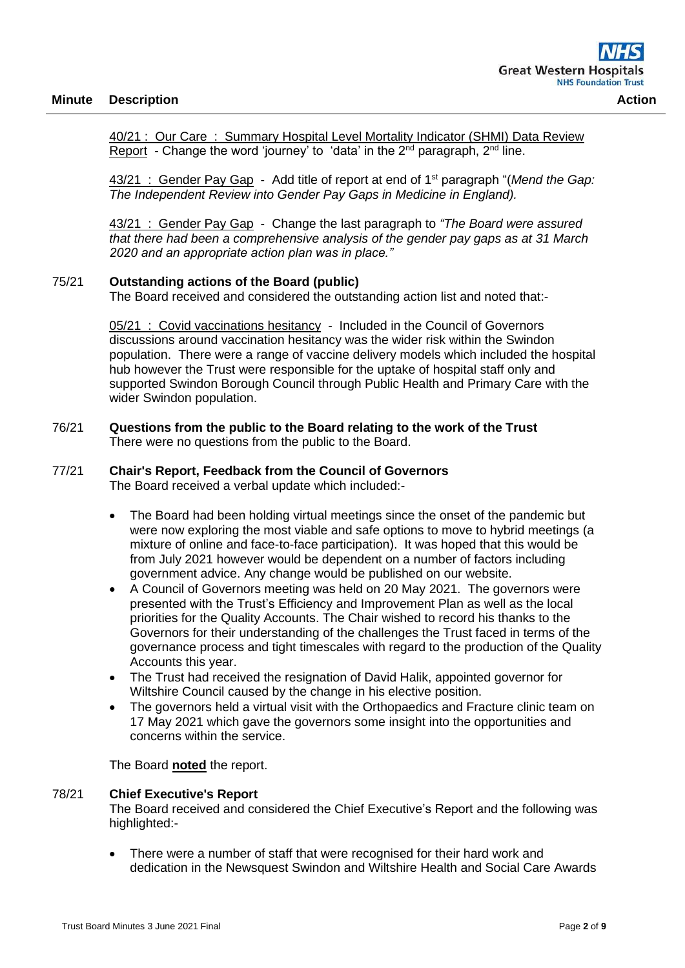40/21 : Our Care : Summary Hospital Level Mortality Indicator (SHMI) Data Review Report - Change the word 'journey' to 'data' in the  $2<sup>nd</sup>$  paragraph,  $2<sup>nd</sup>$  line.

43/21 : Gender Pay Gap - Add title of report at end of 1st paragraph "(*Mend the Gap: The Independent Review into Gender Pay Gaps in Medicine in England).*

43/21 : Gender Pay Gap - Change the last paragraph to *"The Board were assured that there had been a comprehensive analysis of the gender pay gaps as at 31 March 2020 and an appropriate action plan was in place."*

#### 75/21 **Outstanding actions of the Board (public)**

The Board received and considered the outstanding action list and noted that:-

05/21 : Covid vaccinations hesitancy - Included in the Council of Governors discussions around vaccination hesitancy was the wider risk within the Swindon population. There were a range of vaccine delivery models which included the hospital hub however the Trust were responsible for the uptake of hospital staff only and supported Swindon Borough Council through Public Health and Primary Care with the wider Swindon population.

#### 76/21 **Questions from the public to the Board relating to the work of the Trust** There were no questions from the public to the Board.

#### 77/21 **Chair's Report, Feedback from the Council of Governors**

The Board received a verbal update which included:-

- The Board had been holding virtual meetings since the onset of the pandemic but were now exploring the most viable and safe options to move to hybrid meetings (a mixture of online and face-to-face participation). It was hoped that this would be from July 2021 however would be dependent on a number of factors including government advice. Any change would be published on our website.
- A Council of Governors meeting was held on 20 May 2021. The governors were presented with the Trust's Efficiency and Improvement Plan as well as the local priorities for the Quality Accounts. The Chair wished to record his thanks to the Governors for their understanding of the challenges the Trust faced in terms of the governance process and tight timescales with regard to the production of the Quality Accounts this year.
- The Trust had received the resignation of David Halik, appointed governor for Wiltshire Council caused by the change in his elective position.
- The governors held a virtual visit with the Orthopaedics and Fracture clinic team on 17 May 2021 which gave the governors some insight into the opportunities and concerns within the service.

The Board **noted** the report.

#### 78/21 **Chief Executive's Report**

The Board received and considered the Chief Executive's Report and the following was highlighted:-

• There were a number of staff that were recognised for their hard work and dedication in the Newsquest Swindon and Wiltshire Health and Social Care Awards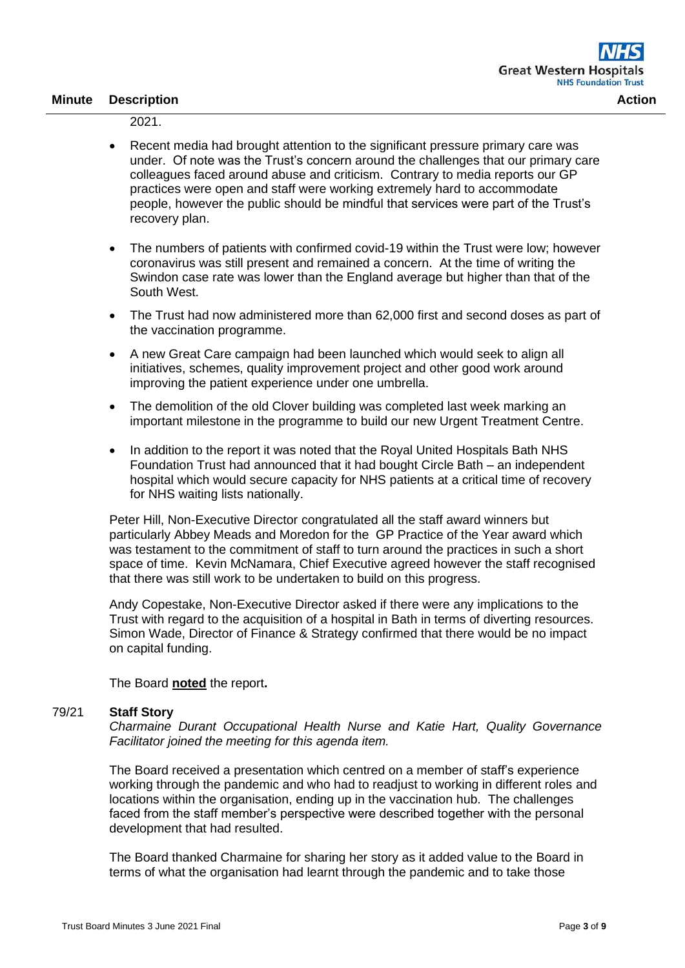2021.

- Recent media had brought attention to the significant pressure primary care was under. Of note was the Trust's concern around the challenges that our primary care colleagues faced around abuse and criticism. Contrary to media reports our GP practices were open and staff were working extremely hard to accommodate people, however the public should be mindful that services were part of the Trust's recovery plan.
- The numbers of patients with confirmed covid-19 within the Trust were low; however coronavirus was still present and remained a concern. At the time of writing the Swindon case rate was lower than the England average but higher than that of the South West.
- The Trust had now administered more than 62,000 first and second doses as part of the vaccination programme.
- A new Great Care campaign had been launched which would seek to align all initiatives, schemes, quality improvement project and other good work around improving the patient experience under one umbrella.
- The demolition of the old Clover building was completed last week marking an important milestone in the programme to build our new Urgent Treatment Centre.
- In addition to the report it was noted that the Royal United Hospitals Bath NHS Foundation Trust had announced that it had bought Circle Bath – an independent hospital which would secure capacity for NHS patients at a critical time of recovery for NHS waiting lists nationally.

Peter Hill, Non-Executive Director congratulated all the staff award winners but particularly Abbey Meads and Moredon for the GP Practice of the Year award which was testament to the commitment of staff to turn around the practices in such a short space of time. Kevin McNamara, Chief Executive agreed however the staff recognised that there was still work to be undertaken to build on this progress.

Andy Copestake, Non-Executive Director asked if there were any implications to the Trust with regard to the acquisition of a hospital in Bath in terms of diverting resources. Simon Wade, Director of Finance & Strategy confirmed that there would be no impact on capital funding.

The Board **noted** the report**.**

#### 79/21 **Staff Story**

*Charmaine Durant Occupational Health Nurse and Katie Hart, Quality Governance Facilitator joined the meeting for this agenda item.*

The Board received a presentation which centred on a member of staff's experience working through the pandemic and who had to readjust to working in different roles and locations within the organisation, ending up in the vaccination hub. The challenges faced from the staff member's perspective were described together with the personal development that had resulted.

The Board thanked Charmaine for sharing her story as it added value to the Board in terms of what the organisation had learnt through the pandemic and to take those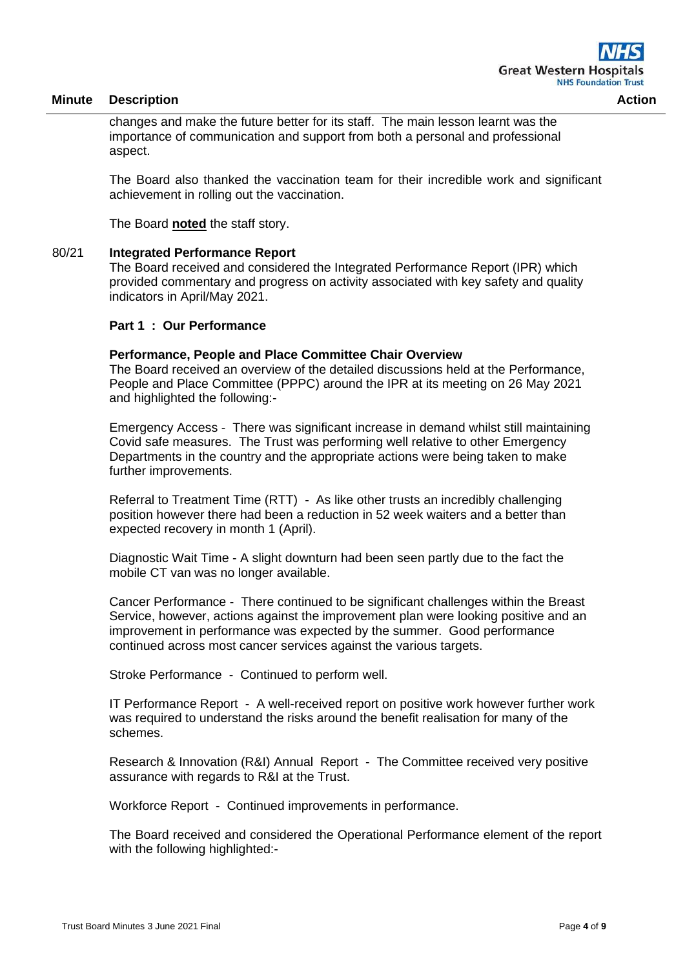changes and make the future better for its staff. The main lesson learnt was the importance of communication and support from both a personal and professional aspect.

The Board also thanked the vaccination team for their incredible work and significant achievement in rolling out the vaccination.

The Board **noted** the staff story.

#### 80/21 **Integrated Performance Report**

The Board received and considered the Integrated Performance Report (IPR) which provided commentary and progress on activity associated with key safety and quality indicators in April/May 2021.

#### **Part 1 : Our Performance**

#### **Performance, People and Place Committee Chair Overview**

The Board received an overview of the detailed discussions held at the Performance, People and Place Committee (PPPC) around the IPR at its meeting on 26 May 2021 and highlighted the following:-

Emergency Access - There was significant increase in demand whilst still maintaining Covid safe measures. The Trust was performing well relative to other Emergency Departments in the country and the appropriate actions were being taken to make further improvements.

Referral to Treatment Time (RTT) - As like other trusts an incredibly challenging position however there had been a reduction in 52 week waiters and a better than expected recovery in month 1 (April).

Diagnostic Wait Time - A slight downturn had been seen partly due to the fact the mobile CT van was no longer available.

Cancer Performance - There continued to be significant challenges within the Breast Service, however, actions against the improvement plan were looking positive and an improvement in performance was expected by the summer. Good performance continued across most cancer services against the various targets.

Stroke Performance - Continued to perform well.

IT Performance Report - A well-received report on positive work however further work was required to understand the risks around the benefit realisation for many of the schemes.

Research & Innovation (R&I) Annual Report - The Committee received very positive assurance with regards to R&I at the Trust.

Workforce Report - Continued improvements in performance.

The Board received and considered the Operational Performance element of the report with the following highlighted:-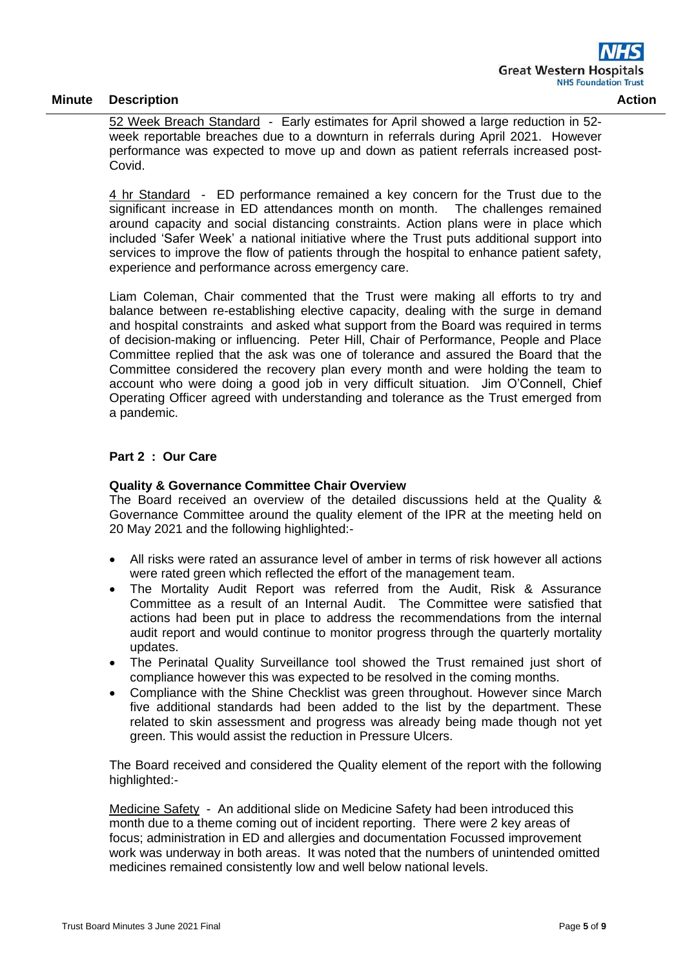52 Week Breach Standard - Early estimates for April showed a large reduction in 52 week reportable breaches due to a downturn in referrals during April 2021. However performance was expected to move up and down as patient referrals increased post-Covid.

4 hr Standard - ED performance remained a key concern for the Trust due to the significant increase in ED attendances month on month. The challenges remained around capacity and social distancing constraints. Action plans were in place which included 'Safer Week' a national initiative where the Trust puts additional support into services to improve the flow of patients through the hospital to enhance patient safety, experience and performance across emergency care.

Liam Coleman, Chair commented that the Trust were making all efforts to try and balance between re-establishing elective capacity, dealing with the surge in demand and hospital constraints and asked what support from the Board was required in terms of decision-making or influencing. Peter Hill, Chair of Performance, People and Place Committee replied that the ask was one of tolerance and assured the Board that the Committee considered the recovery plan every month and were holding the team to account who were doing a good job in very difficult situation. Jim O'Connell, Chief Operating Officer agreed with understanding and tolerance as the Trust emerged from a pandemic.

# **Part 2 : Our Care**

## **Quality & Governance Committee Chair Overview**

The Board received an overview of the detailed discussions held at the Quality & Governance Committee around the quality element of the IPR at the meeting held on 20 May 2021 and the following highlighted:-

- All risks were rated an assurance level of amber in terms of risk however all actions were rated green which reflected the effort of the management team.
- The Mortality Audit Report was referred from the Audit, Risk & Assurance Committee as a result of an Internal Audit. The Committee were satisfied that actions had been put in place to address the recommendations from the internal audit report and would continue to monitor progress through the quarterly mortality updates.
- The Perinatal Quality Surveillance tool showed the Trust remained just short of compliance however this was expected to be resolved in the coming months.
- Compliance with the Shine Checklist was green throughout. However since March five additional standards had been added to the list by the department. These related to skin assessment and progress was already being made though not yet green. This would assist the reduction in Pressure Ulcers.

The Board received and considered the Quality element of the report with the following highlighted:-

Medicine Safety - An additional slide on Medicine Safety had been introduced this month due to a theme coming out of incident reporting. There were 2 key areas of focus; administration in ED and allergies and documentation Focussed improvement work was underway in both areas. It was noted that the numbers of unintended omitted medicines remained consistently low and well below national levels.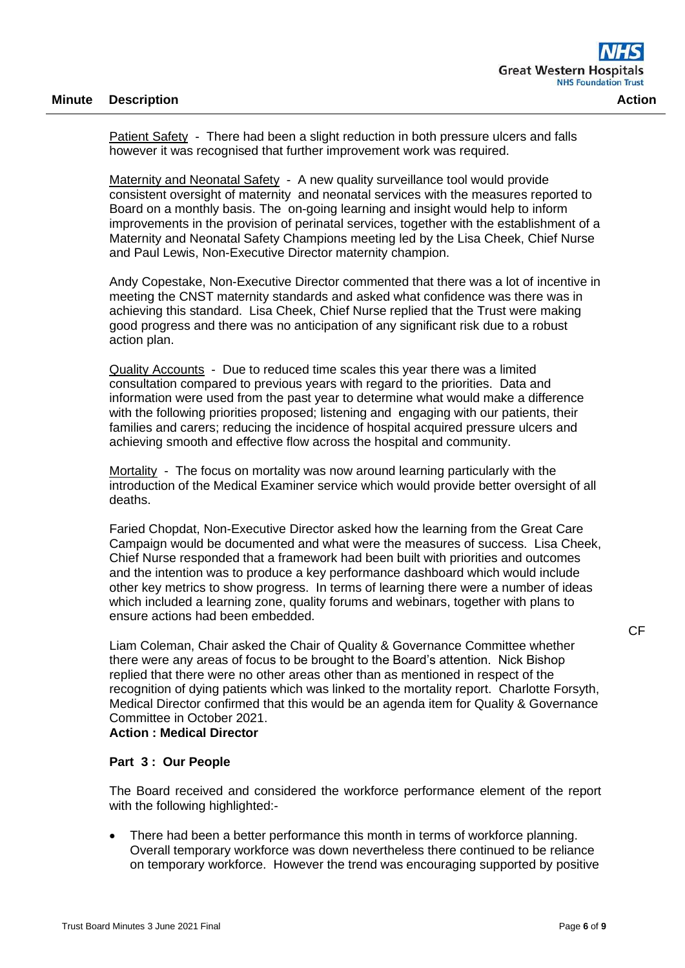Patient Safety - There had been a slight reduction in both pressure ulcers and falls however it was recognised that further improvement work was required.

Maternity and Neonatal Safety - A new quality surveillance tool would provide consistent oversight of maternity and neonatal services with the measures reported to Board on a monthly basis. The on-going learning and insight would help to inform improvements in the provision of perinatal services, together with the establishment of a Maternity and Neonatal Safety Champions meeting led by the Lisa Cheek, Chief Nurse and Paul Lewis, Non-Executive Director maternity champion.

Andy Copestake, Non-Executive Director commented that there was a lot of incentive in meeting the CNST maternity standards and asked what confidence was there was in achieving this standard. Lisa Cheek, Chief Nurse replied that the Trust were making good progress and there was no anticipation of any significant risk due to a robust action plan.

Quality Accounts - Due to reduced time scales this year there was a limited consultation compared to previous years with regard to the priorities. Data and information were used from the past year to determine what would make a difference with the following priorities proposed; listening and engaging with our patients, their families and carers; reducing the incidence of hospital acquired pressure ulcers and achieving smooth and effective flow across the hospital and community.

Mortality - The focus on mortality was now around learning particularly with the introduction of the Medical Examiner service which would provide better oversight of all deaths.

Faried Chopdat, Non-Executive Director asked how the learning from the Great Care Campaign would be documented and what were the measures of success. Lisa Cheek, Chief Nurse responded that a framework had been built with priorities and outcomes and the intention was to produce a key performance dashboard which would include other key metrics to show progress. In terms of learning there were a number of ideas which included a learning zone, quality forums and webinars, together with plans to ensure actions had been embedded.

Liam Coleman, Chair asked the Chair of Quality & Governance Committee whether there were any areas of focus to be brought to the Board's attention. Nick Bishop replied that there were no other areas other than as mentioned in respect of the recognition of dying patients which was linked to the mortality report. Charlotte Forsyth, Medical Director confirmed that this would be an agenda item for Quality & Governance Committee in October 2021.

# **Action : Medical Director**

## **Part 3 : Our People**

The Board received and considered the workforce performance element of the report with the following highlighted:-

There had been a better performance this month in terms of workforce planning. Overall temporary workforce was down nevertheless there continued to be reliance on temporary workforce. However the trend was encouraging supported by positive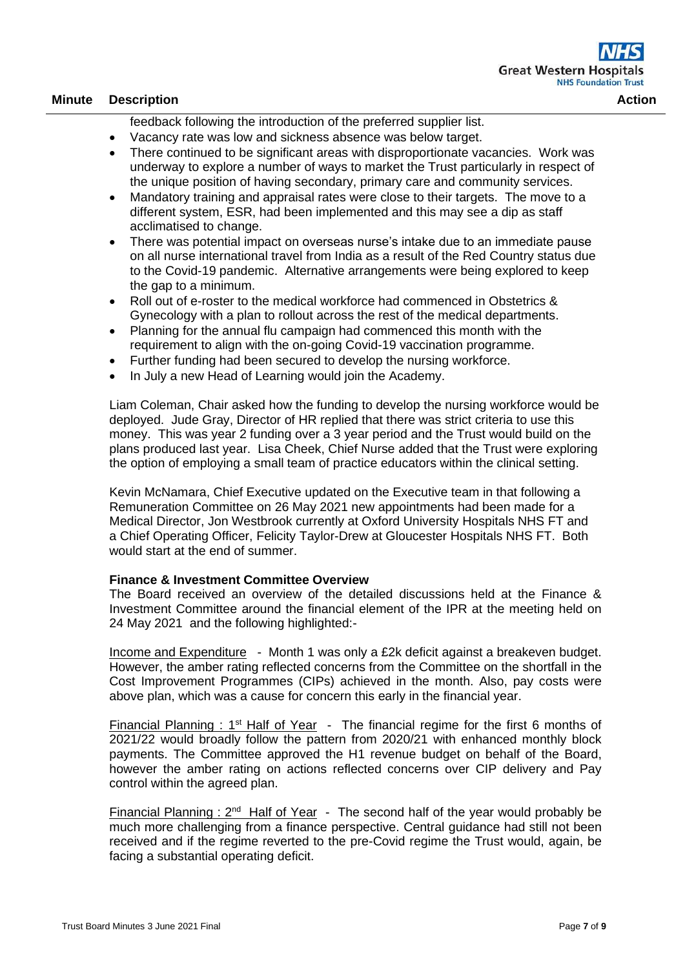feedback following the introduction of the preferred supplier list.

- Vacancy rate was low and sickness absence was below target.
- There continued to be significant areas with disproportionate vacancies. Work was underway to explore a number of ways to market the Trust particularly in respect of the unique position of having secondary, primary care and community services.
- Mandatory training and appraisal rates were close to their targets. The move to a different system, ESR, had been implemented and this may see a dip as staff acclimatised to change.
- There was potential impact on overseas nurse's intake due to an immediate pause on all nurse international travel from India as a result of the Red Country status due to the Covid-19 pandemic. Alternative arrangements were being explored to keep the gap to a minimum.
- Roll out of e-roster to the medical workforce had commenced in Obstetrics & Gynecology with a plan to rollout across the rest of the medical departments.
- Planning for the annual flu campaign had commenced this month with the requirement to align with the on-going Covid-19 vaccination programme.
- Further funding had been secured to develop the nursing workforce.
- In July a new Head of Learning would join the Academy.

Liam Coleman, Chair asked how the funding to develop the nursing workforce would be deployed. Jude Gray, Director of HR replied that there was strict criteria to use this money. This was year 2 funding over a 3 year period and the Trust would build on the plans produced last year. Lisa Cheek, Chief Nurse added that the Trust were exploring the option of employing a small team of practice educators within the clinical setting.

Kevin McNamara, Chief Executive updated on the Executive team in that following a Remuneration Committee on 26 May 2021 new appointments had been made for a Medical Director, Jon Westbrook currently at Oxford University Hospitals NHS FT and a Chief Operating Officer, Felicity Taylor-Drew at Gloucester Hospitals NHS FT. Both would start at the end of summer.

#### **Finance & Investment Committee Overview**

The Board received an overview of the detailed discussions held at the Finance & Investment Committee around the financial element of the IPR at the meeting held on 24 May 2021 and the following highlighted:-

Income and Expenditure - Month 1 was only a £2k deficit against a breakeven budget. However, the amber rating reflected concerns from the Committee on the shortfall in the Cost Improvement Programmes (CIPs) achieved in the month. Also, pay costs were above plan, which was a cause for concern this early in the financial year.

Financial Planning :  $1<sup>st</sup>$  Half of Year - The financial regime for the first 6 months of 2021/22 would broadly follow the pattern from 2020/21 with enhanced monthly block payments. The Committee approved the H1 revenue budget on behalf of the Board, however the amber rating on actions reflected concerns over CIP delivery and Pay control within the agreed plan.

Financial Planning :  $2^{nd}$  Half of Year - The second half of the year would probably be much more challenging from a finance perspective. Central guidance had still not been received and if the regime reverted to the pre-Covid regime the Trust would, again, be facing a substantial operating deficit.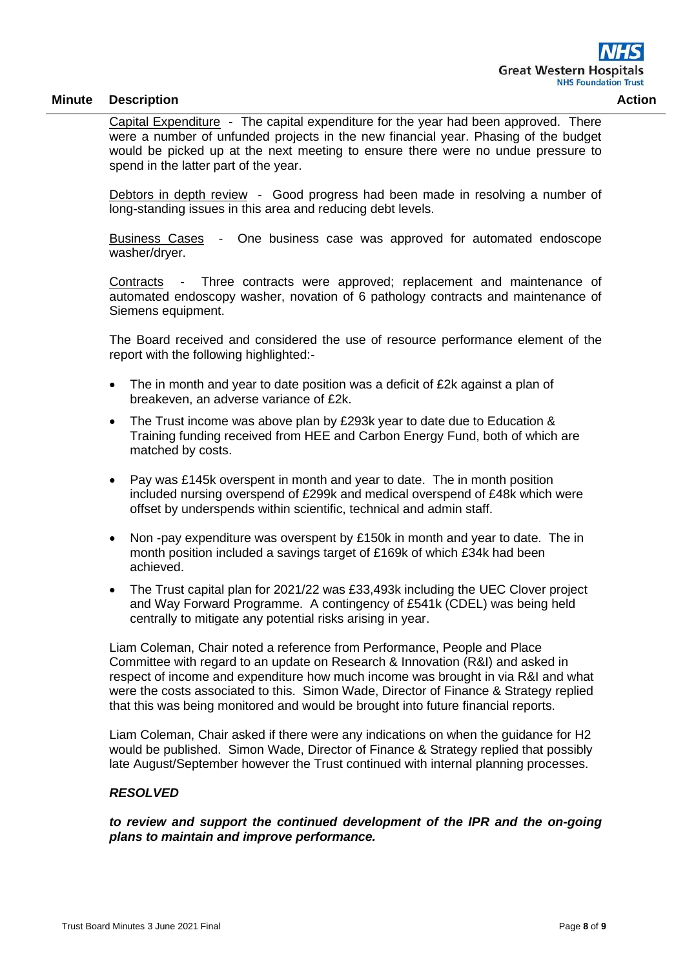Capital Expenditure - The capital expenditure for the year had been approved. There were a number of unfunded projects in the new financial year. Phasing of the budget would be picked up at the next meeting to ensure there were no undue pressure to spend in the latter part of the year.

Debtors in depth review - Good progress had been made in resolving a number of long-standing issues in this area and reducing debt levels.

Business Cases - One business case was approved for automated endoscope washer/dryer.

Contracts - Three contracts were approved; replacement and maintenance of automated endoscopy washer, novation of 6 pathology contracts and maintenance of Siemens equipment.

The Board received and considered the use of resource performance element of the report with the following highlighted:-

- The in month and year to date position was a deficit of £2k against a plan of breakeven, an adverse variance of £2k.
- The Trust income was above plan by £293k year to date due to Education & Training funding received from HEE and Carbon Energy Fund, both of which are matched by costs.
- Pay was £145k overspent in month and year to date. The in month position included nursing overspend of £299k and medical overspend of £48k which were offset by underspends within scientific, technical and admin staff.
- Non -pay expenditure was overspent by £150k in month and year to date. The in month position included a savings target of £169k of which £34k had been achieved.
- The Trust capital plan for 2021/22 was £33,493k including the UEC Clover project and Way Forward Programme. A contingency of £541k (CDEL) was being held centrally to mitigate any potential risks arising in year.

Liam Coleman, Chair noted a reference from Performance, People and Place Committee with regard to an update on Research & Innovation (R&I) and asked in respect of income and expenditure how much income was brought in via R&I and what were the costs associated to this. Simon Wade, Director of Finance & Strategy replied that this was being monitored and would be brought into future financial reports.

Liam Coleman, Chair asked if there were any indications on when the guidance for H2 would be published. Simon Wade, Director of Finance & Strategy replied that possibly late August/September however the Trust continued with internal planning processes.

## *RESOLVED*

*to review and support the continued development of the IPR and the on-going plans to maintain and improve performance.*